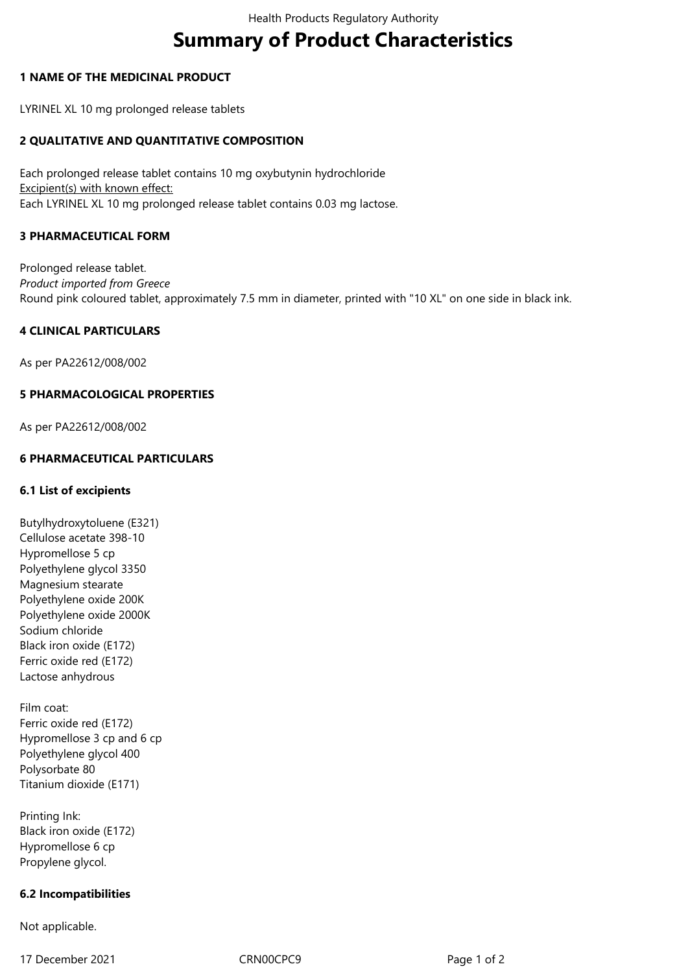# **Summary of Product Characteristics**

## **1 NAME OF THE MEDICINAL PRODUCT**

LYRINEL XL 10 mg prolonged release tablets

# **2 QUALITATIVE AND QUANTITATIVE COMPOSITION**

Each prolonged release tablet contains 10 mg oxybutynin hydrochloride Excipient(s) with known effect: Each LYRINEL XL 10 mg prolonged release tablet contains 0.03 mg lactose.

#### **3 PHARMACEUTICAL FORM**

Prolonged release tablet. *Product imported from Greece* Round pink coloured tablet, approximately 7.5 mm in diameter, printed with "10 XL" on one side in black ink.

#### **4 CLINICAL PARTICULARS**

As per PA22612/008/002

#### **5 PHARMACOLOGICAL PROPERTIES**

As per PA22612/008/002

#### **6 PHARMACEUTICAL PARTICULARS**

#### **6.1 List of excipients**

Butylhydroxytoluene (E321) Cellulose acetate 398-10 Hypromellose 5 cp Polyethylene glycol 3350 Magnesium stearate Polyethylene oxide 200K Polyethylene oxide 2000K Sodium chloride Black iron oxide (E172) Ferric oxide red (E172) Lactose anhydrous

Film coat: Ferric oxide red (E172) Hypromellose 3 cp and 6 cp Polyethylene glycol 400 Polysorbate 80 Titanium dioxide (E171)

Printing Ink: Black iron oxide (E172) Hypromellose 6 cp Propylene glycol.

#### **6.2 Incompatibilities**

Not applicable.

17 December 2021 CRN00CPC9 CRNOOCPC9